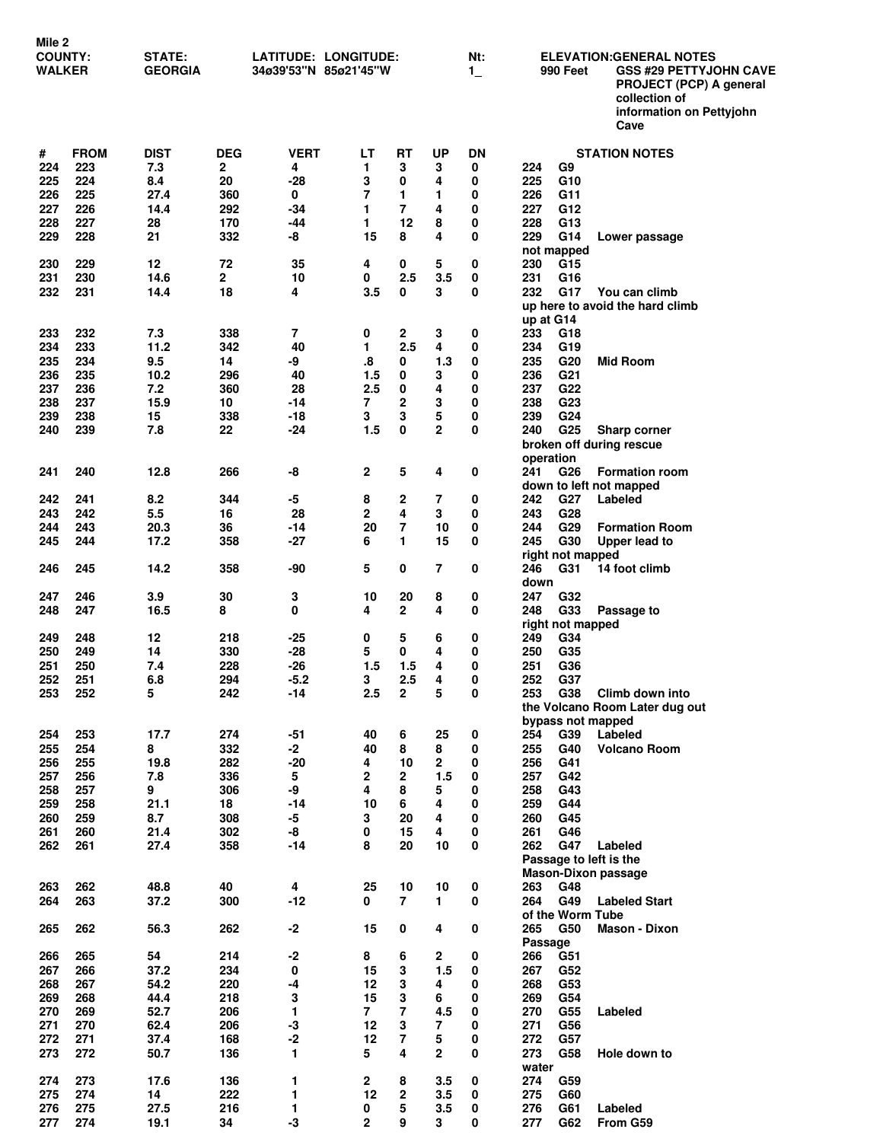| Mile 2<br><b>COUNTY:</b><br><b>WALKER</b> |             | STATE:<br><b>GEORGIA</b> |            | LATITUDE: LONGITUDE:<br>34ø39'53"N 85ø21'45"W |                     |                         | Nt:<br>$1_{-}$ | <b>ELEVATION:GENERAL NOTES</b><br><b>990 Feet</b><br><b>GSS #29 PETTYJOHN CAVE</b><br>PROJECT (PCP) A general |                                                              |  |  |  |  |  |
|-------------------------------------------|-------------|--------------------------|------------|-----------------------------------------------|---------------------|-------------------------|----------------|---------------------------------------------------------------------------------------------------------------|--------------------------------------------------------------|--|--|--|--|--|
|                                           |             |                          |            |                                               |                     |                         |                |                                                                                                               | collection of<br>information on Pettyjohn<br>Cave            |  |  |  |  |  |
| #                                         | <b>FROM</b> | <b>DIST</b>              | <b>DEG</b> | <b>VERT</b>                                   | LT                  | RT                      | <b>UP</b>      | DΝ                                                                                                            | <b>STATION NOTES</b>                                         |  |  |  |  |  |
| 224                                       | 223         | 7.3                      | 2          | 4                                             | 1                   | 3                       | 3              | 0                                                                                                             | G <sub>9</sub><br>224                                        |  |  |  |  |  |
| 225                                       | 224         | 8.4                      | 20         | -28                                           | 3                   | 0                       | 4              | 0                                                                                                             | 225<br>G10                                                   |  |  |  |  |  |
| 226                                       | 225         | 27.4                     | 360        | 0                                             | 7                   | 1                       | 1              | 0                                                                                                             | 226<br>G11                                                   |  |  |  |  |  |
| 227                                       | 226         | 14.4                     | 292        | -34                                           | 1                   | 7                       | 4              | 0                                                                                                             | 227<br>G12                                                   |  |  |  |  |  |
| 228<br>229                                | 227<br>228  | 28                       | 170<br>332 | -44                                           | 1.<br>15            | 12<br>8                 | 8<br>4         | 0<br>0                                                                                                        | G13<br>228<br>229                                            |  |  |  |  |  |
|                                           |             | 21                       |            | -8                                            |                     |                         |                |                                                                                                               | G14<br>Lower passage<br>not mapped                           |  |  |  |  |  |
| 230                                       | 229         | 12                       | 72         | 35                                            | 4                   | 0                       | 5              | 0                                                                                                             | 230<br>G15                                                   |  |  |  |  |  |
| 231                                       | 230         | 14.6                     | 2          | 10                                            | 0                   | 2.5                     | 3.5            | 0                                                                                                             | 231<br>G16                                                   |  |  |  |  |  |
| 232                                       | 231         | 14.4                     | 18         | 4                                             | 3.5                 | 0                       | 3              | 0                                                                                                             | 232<br>G17<br>You can climb                                  |  |  |  |  |  |
|                                           |             |                          |            |                                               |                     |                         |                |                                                                                                               | up here to avoid the hard climb                              |  |  |  |  |  |
|                                           |             |                          |            |                                               |                     |                         |                |                                                                                                               | up at G14                                                    |  |  |  |  |  |
| 233                                       | 232         | 7.3                      | 338        | 7                                             | 0                   | $\mathbf 2$<br>2.5      | 3              | 0                                                                                                             | 233<br>G18                                                   |  |  |  |  |  |
| 234<br>235                                | 233<br>234  | 11.2<br>9.5              | 342<br>14  | 40<br>-9                                      | 1<br>8.             | 0                       | 4<br>1.3       | 0<br>0                                                                                                        | 234<br>G19<br>G <sub>20</sub><br>235<br><b>Mid Room</b>      |  |  |  |  |  |
| 236                                       | 235         | 10.2                     | 296        | 40                                            | 1.5                 | 0                       | 3              | 0                                                                                                             | 236<br>G <sub>21</sub>                                       |  |  |  |  |  |
| 237                                       | 236         | 7.2                      | 360        | 28                                            | 2.5                 | 0                       | 4              | 0                                                                                                             | 237<br>G22                                                   |  |  |  |  |  |
| 238                                       | 237         | 15.9                     | 10         | $-14$                                         | $\overline{7}$      | 2                       | 3              | 0                                                                                                             | 238<br>G <sub>23</sub>                                       |  |  |  |  |  |
| 239                                       | 238         | 15                       | 338        | -18                                           | 3                   | 3                       | 5              | 0                                                                                                             | 239<br>G24                                                   |  |  |  |  |  |
| 240                                       | 239         | 7.8                      | 22         | $-24$                                         | 1.5                 | 0                       | $\overline{2}$ | 0                                                                                                             | G <sub>25</sub><br>240<br><b>Sharp corner</b>                |  |  |  |  |  |
|                                           |             |                          |            |                                               |                     |                         |                |                                                                                                               | broken off during rescue                                     |  |  |  |  |  |
|                                           |             |                          |            |                                               |                     |                         |                |                                                                                                               | operation                                                    |  |  |  |  |  |
| 241                                       | 240         | 12.8                     | 266        | -8                                            | $\mathbf{2}$        | 5                       | 4              | 0                                                                                                             | 241<br>G26<br><b>Formation room</b>                          |  |  |  |  |  |
|                                           | 241         | 8.2                      | 344        | -5                                            | 8                   | 2                       | 7              | 0                                                                                                             | down to left not mapped<br>G <sub>27</sub><br>242<br>Labeled |  |  |  |  |  |
| 242<br>243                                | 242         | 5.5                      | 16         | 28                                            | $\mathbf{2}$        | 4                       | 3              | 0                                                                                                             | 243<br>G28                                                   |  |  |  |  |  |
| 244                                       | 243         | 20.3                     | 36         | -14                                           | 20                  | 7                       | 10             | 0                                                                                                             | G29<br>244<br><b>Formation Room</b>                          |  |  |  |  |  |
| 245                                       | 244         | 17.2                     | 358        | $-27$                                         | 6                   | 1                       | 15             | 0                                                                                                             | 245<br>G30<br>Upper lead to                                  |  |  |  |  |  |
|                                           |             |                          |            |                                               |                     |                         |                |                                                                                                               | right not mapped                                             |  |  |  |  |  |
| 246                                       | 245         | 14.2                     | 358        | -90                                           | 5                   | 0                       | 7              | 0                                                                                                             | 246<br>G31<br>14 foot climb                                  |  |  |  |  |  |
|                                           |             |                          |            |                                               |                     |                         |                |                                                                                                               | down                                                         |  |  |  |  |  |
| 247                                       | 246         | 3.9                      | 30         | 3                                             | 10                  | 20                      | 8              | 0                                                                                                             | 247<br>G32                                                   |  |  |  |  |  |
| 248                                       | 247         | 16.5                     | 8          | 0                                             | 4                   | $\mathbf{2}$            | 4              | 0                                                                                                             | 248<br>G33<br>Passage to<br>right not mapped                 |  |  |  |  |  |
| 249                                       | 248         | 12                       | 218        | $-25$                                         | 0                   | 5                       | 6              | 0                                                                                                             | 249<br>G34                                                   |  |  |  |  |  |
| 250                                       | 249         | 14                       | 330        | $-28$                                         | 5                   | 0                       | 4              | 0                                                                                                             | G35<br>250                                                   |  |  |  |  |  |
| 251                                       | 250         | 7.4                      | 228        | $-26$                                         | 1.5                 | 1.5                     | 4              | 0                                                                                                             | G36<br>251                                                   |  |  |  |  |  |
| 252                                       | 251         | 6.8                      | 294        | $-5.2$                                        | 3                   | 2.5                     | 4              | 0                                                                                                             | 252<br>G37                                                   |  |  |  |  |  |
| 253                                       | 252         | 5                        | 242        | $-14$                                         | 2.5                 | $\overline{\mathbf{2}}$ | 5              | 0                                                                                                             | 253<br>G38<br>Climb down into                                |  |  |  |  |  |
|                                           |             |                          |            |                                               |                     |                         |                |                                                                                                               | the Volcano Room Later dug out                               |  |  |  |  |  |
| 254                                       | 253         | 17.7                     | 274        | $-51$                                         | 40                  |                         | 25             | 0                                                                                                             | bypass not mapped<br>254<br>Labeled<br>G39                   |  |  |  |  |  |
| 255                                       | 254         | 8                        | 332        | $-2$                                          | 40                  | 6<br>8                  | 8              | 0                                                                                                             | 255<br>G40<br><b>Volcano Room</b>                            |  |  |  |  |  |
| 256                                       | 255         | 19.8                     | 282        | $-20$                                         | 4                   | 10                      | $\mathbf{2}$   | 0                                                                                                             | 256<br>G41                                                   |  |  |  |  |  |
| 257                                       | 256         | 7.8                      | 336        | 5                                             | $\mathbf{2}$        | $\mathbf{2}$            | 1.5            | 0                                                                                                             | G42<br>257                                                   |  |  |  |  |  |
| 258                                       | 257         | 9                        | 306        | -9                                            | 4                   | 8                       | 5              | 0                                                                                                             | 258<br>G43                                                   |  |  |  |  |  |
| 259                                       | 258         | 21.1                     | 18         | $-14$                                         | 10                  | 6                       | 4              | 0                                                                                                             | 259<br>G44                                                   |  |  |  |  |  |
| 260                                       | 259         | 8.7                      | 308        | $-5$                                          | 3                   | 20                      | 4              | 0                                                                                                             | 260<br>G45                                                   |  |  |  |  |  |
| 261                                       | 260         | 21.4                     | 302        | -8                                            | 0                   | 15                      | 4              | 0                                                                                                             | 261<br>G46                                                   |  |  |  |  |  |
| 262                                       | 261         | 27.4                     | 358        | -14                                           | 8                   | 20                      | 10             | 0                                                                                                             | 262<br>G47<br>Labeled<br>Passage to left is the              |  |  |  |  |  |
|                                           |             |                          |            |                                               |                     |                         |                |                                                                                                               | <b>Mason-Dixon passage</b>                                   |  |  |  |  |  |
| 263                                       | 262         | 48.8                     | 40         | 4                                             | 25                  | 10                      | 10             | 0                                                                                                             | 263<br>G48                                                   |  |  |  |  |  |
| 264                                       | 263         | 37.2                     | 300        | $-12$                                         | 0                   | $\overline{7}$          | 1              | 0                                                                                                             | 264<br>G49<br><b>Labeled Start</b>                           |  |  |  |  |  |
|                                           |             |                          |            |                                               |                     |                         |                |                                                                                                               | of the Worm Tube                                             |  |  |  |  |  |
| 265                                       | 262         | 56.3                     | 262        | $-2$                                          | 15                  | 0                       | 4              | 0                                                                                                             | 265<br>G50<br>Mason - Dixon                                  |  |  |  |  |  |
|                                           |             |                          |            |                                               |                     |                         |                |                                                                                                               | Passage                                                      |  |  |  |  |  |
| 266                                       | 265         | 54                       | 214        | $-2$                                          | 8                   | 6                       | 2              | 0                                                                                                             | 266<br>G51                                                   |  |  |  |  |  |
| 267                                       | 266         | 37.2                     | 234        | 0                                             | 15                  | 3                       | 1.5            | 0                                                                                                             | 267<br>G52                                                   |  |  |  |  |  |
| 268<br>269                                | 267<br>268  | 54.2<br>44.4             | 220<br>218 | $-4$<br>3                                     | 12<br>15            | 3<br>3                  | 4<br>6         | 0<br>0                                                                                                        | G53<br>268<br>269<br>G54                                     |  |  |  |  |  |
| 270                                       | 269         | 52.7                     | 206        | 1                                             | $\overline{7}$      | $\overline{7}$          | 4.5            | 0                                                                                                             | G55<br>270<br>Labeled                                        |  |  |  |  |  |
| 271                                       | 270         | 62.4                     | 206        | $-3$                                          | 12                  | 3                       | 7              | 0                                                                                                             | 271<br>G56                                                   |  |  |  |  |  |
| 272                                       | 271         | 37.4                     | 168        | $\text{-}2$                                   | 12                  | 7                       | 5              | 0                                                                                                             | 272<br>G57                                                   |  |  |  |  |  |
| 273                                       | 272         | 50.7                     | 136        | 1                                             | 5                   | 4                       | $\mathbf{2}$   | 0                                                                                                             | 273<br>G58<br>Hole down to                                   |  |  |  |  |  |
|                                           |             |                          |            |                                               |                     |                         |                |                                                                                                               | water                                                        |  |  |  |  |  |
| 274                                       | 273         | 17.6                     | 136        | 1                                             | $\mathbf 2$         | 8                       | 3.5            | 0                                                                                                             | 274<br>G59                                                   |  |  |  |  |  |
| 275                                       | 274         | 14                       | 222        | 1                                             | 12                  | $\mathbf 2$             | 3.5            | 0                                                                                                             | 275<br>G60                                                   |  |  |  |  |  |
| 276<br>277                                | 275<br>274  | 27.5<br>19.1             | 216<br>34  | 1<br>$-3$                                     | 0<br>$\overline{2}$ | 5<br>9                  | 3.5<br>3       | 0<br>0                                                                                                        | 276<br>G61<br>Labeled<br>277<br>G62<br>From G59              |  |  |  |  |  |
|                                           |             |                          |            |                                               |                     |                         |                |                                                                                                               |                                                              |  |  |  |  |  |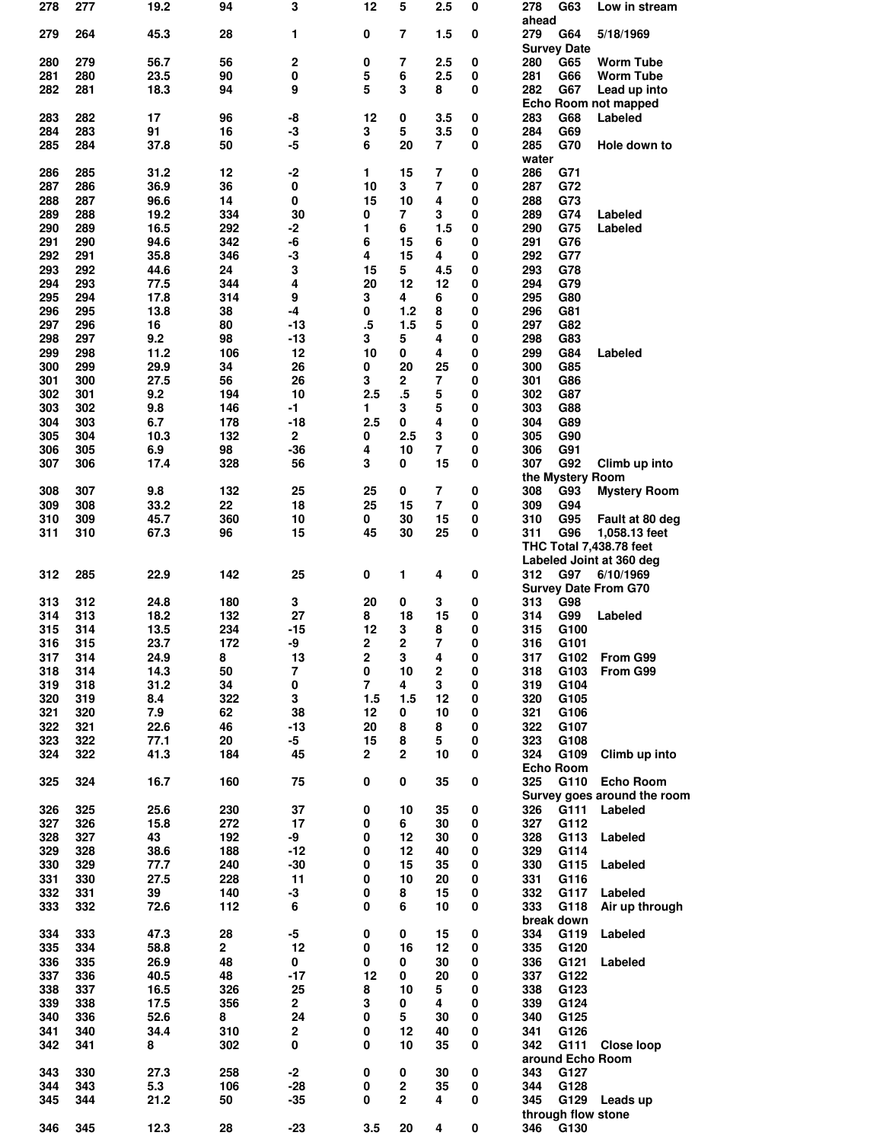| 278        | 277        | 19.2         | 94           | 3                       | 12             | 5              | 2.5            | 0      | 278<br>G63<br>Low in stream                     |
|------------|------------|--------------|--------------|-------------------------|----------------|----------------|----------------|--------|-------------------------------------------------|
|            |            |              |              |                         |                |                |                |        | ahead                                           |
| 279        | 264        | 45.3         | 28           | 1                       | 0              | 7              | 1.5            | 0      | 279<br>G64<br>5/18/1969<br><b>Survey Date</b>   |
| 280        | 279        | 56.7         | 56           | $\mathbf 2$             | 0              | 7              | 2.5            | 0      | 280<br>G65<br><b>Worm Tube</b>                  |
| 281        | 280        | 23.5         | 90           | 0                       | 5              | 6              | 2.5            | 0      | 281<br>G66<br><b>Worm Tube</b>                  |
| 282        | 281        | 18.3         | 94           | 9                       | 5              | 3              | 8              | 0      | 282<br>G67<br>Lead up into                      |
|            |            |              |              |                         |                |                |                |        | Echo Room not mapped                            |
| 283        | 282        | 17           | 96           | -8                      | 12             | 0              | 3.5            | 0      | G68<br>283<br>Labeled                           |
| 284        | 283        | 91           | 16           | -3                      | 3              | 5              | 3.5            | 0      | 284<br>G69                                      |
| 285        | 284        | 37.8         | 50           | -5                      | 6              | 20             | 7              | 0      | 285<br>G70<br>Hole down to                      |
|            |            |              |              |                         |                |                |                |        | water                                           |
| 286        | 285        | 31.2         | 12           | $-2$                    | 1              | 15             | 7              | 0      | 286<br>G71                                      |
| 287        | 286        | 36.9         | 36           | 0                       | 10             | 3              | 7              | 0      | 287<br>G72                                      |
| 288        | 287        | 96.6         | 14           | 0                       | 15             | 10             | 4              | 0      | 288<br>G73                                      |
| 289        | 288        | 19.2         | 334          | 30                      | 0              | $\overline{7}$ | 3              | 0      | 289<br>G74<br>Labeled                           |
| 290        | 289        | 16.5         | 292          | -2                      | 1              | 6              | 1.5            | 0      | 290<br>G75<br>Labeled                           |
| 291        | 290        | 94.6         | 342          | -6                      | 6              | 15             | 6              | 0      | 291<br>G76                                      |
| 292        | 291<br>292 | 35.8         | 346<br>24    | -3                      | 4              | 15<br>5        | 4              | 0      | 292<br>G77                                      |
| 293<br>294 | 293        | 44.6<br>77.5 | 344          | 3<br>4                  | 15<br>20       | 12             | 4.5<br>12      | 0<br>0 | 293<br>G78<br>294<br>G79                        |
| 295        | 294        | 17.8         | 314          | 9                       | 3              | 4              | 6              | 0      | 295<br>G80                                      |
| 296        | 295        | 13.8         | 38           | $-4$                    | 0              | 1.2            | 8              | 0      | 296<br>G81                                      |
| 297        | 296        | 16           | 80           | -13                     | .5             | 1.5            | 5              | 0      | 297<br>G82                                      |
| 298        | 297        | 9.2          | 98           | $-13$                   | 3              | 5              | 4              | 0      | 298<br>G83                                      |
| 299        | 298        | 11.2         | 106          | 12                      | 10             | 0              | 4              | 0      | 299<br>G84<br>Labeled                           |
| 300        | 299        | 29.9         | 34           | 26                      | 0              | 20             | 25             | 0      | G85<br>300                                      |
| 301        | 300        | 27.5         | 56           | 26                      | 3              | 2              | 7              | 0      | 301<br>G86                                      |
| 302        | 301        | 9.2          | 194          | 10                      | 2.5            | .5             | 5              | 0      | 302<br>G87                                      |
| 303        | 302        | 9.8          | 146          | $-1$                    | 1.             | 3              | 5              | 0      | 303<br>G88                                      |
| 304        | 303        | 6.7          | 178          | $-18$                   | 2.5            | 0              | 4              | 0      | 304<br>G89                                      |
| 305        | 304        | 10.3         | 132          | $\overline{\mathbf{2}}$ | 0              | 2.5            | 3              | 0      | G90<br>305                                      |
| 306        | 305        | 6.9          | 98           | $-36$                   | 4              | 10             | 7              | 0      | 306<br>G91                                      |
| 307        | 306        | 17.4         | 328          | 56                      | 3              | 0              | 15             | 0      | 307<br>G92<br>Climb up into                     |
|            |            |              |              |                         |                |                |                |        | the Mystery Room                                |
| 308        | 307        | 9.8          | 132          | 25                      | 25             | 0              | $\overline{7}$ | 0      | 308<br>G93<br><b>Mystery Room</b>               |
| 309        | 308        | 33.2         | 22           | 18                      | 25             | 15             | 7              | 0      | 309<br>G94                                      |
| 310        | 309        | 45.7         | 360          | 10                      | 0              | 30             | 15             | 0      | 310<br>G95<br>Fault at 80 deg                   |
| 311        | 310        | 67.3         | 96           | 15                      | 45             | 30             | 25             | 0      | 311<br>G96<br>1,058.13 feet                     |
|            |            |              |              |                         |                |                |                |        | <b>THC Total 7,438.78 feet</b>                  |
|            |            |              |              |                         |                |                |                |        | Labeled Joint at 360 deg                        |
| 312        | 285        | 22.9         | 142          | 25                      | 0              | 1              | 4              | 0      | 312<br>G97<br>6/10/1969                         |
| 313        | 312        | 24.8         | 180          | 3                       | 20             |                |                | 0      | <b>Survey Date From G70</b><br>313<br>G98       |
| 314        | 313        | 18.2         | 132          | 27                      | 8              | 0<br>18        | 3<br>15        | 0      | 314<br>G99<br>Labeled                           |
| 315        | 314        | 13.5         | 234          | $-15$                   | 12             | 3              | 8              | 0      | 315<br>G100                                     |
| 316        | 315        | 23.7         | 172          | -9                      | 2              | 2              | 7              | 0      | 316<br>G101                                     |
| 317        | 314        | 24.9         | 8            | 13                      | 2              | 3              | 4              | 0      | 317<br>G102<br>From G99                         |
| 318        | 314        | 14.3         | 50           | 7                       | 0              | 10             | 2              | 0      | 318<br>G103<br>From G99                         |
| 319        | 318        | 31.2         | 34           | 0                       | $\overline{7}$ | 4              | 3              | 0      | G104<br>319                                     |
| 320        | 319        | 8.4          | 322          | 3                       | 1.5            | 1.5            | 12             | 0      | 320<br>G105                                     |
| 321        | 320        | 7.9          | 62           | 38                      | 12             | 0              | 10             | 0      | 321<br>G106                                     |
| 322        | 321        | 22.6         | 46           | $-13$                   | 20             | 8              | 8              | 0      |                                                 |
| 323        | 322        | 77.1         | 20           | -5                      | 15             | 8              |                |        |                                                 |
| 324        | 322        | 41.3         | 184          |                         |                |                | 5              | 0      | G107<br>322<br>323<br>G108                      |
|            |            |              |              | 45                      | $\mathbf{2}$   | 2              | 10             | 0      | 324<br>G109<br>Climb up into                    |
| 325        |            |              |              |                         |                |                |                |        | <b>Echo Room</b>                                |
|            | 324        | 16.7         | 160          | 75                      | 0              | 0              | 35             | 0      | G110<br>325<br><b>Echo Room</b>                 |
| 326        |            |              |              |                         |                |                |                |        | Survey goes around the room                     |
| 327        | 325        | 25.6         | 230          | 37                      | 0              | 10             | 35             | 0      | 326<br>G111<br>Labeled                          |
|            | 326        | 15.8         | 272          | 17                      | 0              | 6              | 30             | 0      | 327<br>G112                                     |
| 328        | 327        | 43           | 192          | -9                      | 0              | 12             | 30             | 0      | 328<br>G113<br>Labeled                          |
| 329        | 328        | 38.6         | 188          | $-12$                   | 0              | 12             | 40             | 0      | 329<br>G114                                     |
| 330        | 329        | 77.7         | 240          | $-30$                   | 0              | 15             | 35             | 0      | 330<br>G115<br>Labeled                          |
| 331        | 330        | 27.5         | 228          | 11                      | 0              | 10             | 20             | 0      | 331<br>G116                                     |
| 332        | 331        | 39           | 140          | -3                      | 0              | 8              | 15             | 0      | G117<br>332<br>Labeled                          |
| 333        | 332        | 72.6         | 112          | 6                       | 0              | 6              | 10             | 0      | 333<br>G118<br>Air up through                   |
|            |            |              |              |                         |                |                |                |        | break down                                      |
| 334        | 333        | 47.3         | 28           | $-5$                    | 0              | 0              | 15             | 0      | 334<br>G119<br>Labeled                          |
| 335        | 334        | 58.8         | $\mathbf{2}$ | 12                      | 0              | 16             | 12             | 0      | 335<br>G120                                     |
| 336        | 335        | 26.9         | 48           | 0                       | 0              | 0              | 30             | 0      | 336<br>G121<br>Labeled                          |
| 337        | 336        | 40.5         | 48           | $-17$                   | 12             | 0<br>10        | 20             | 0<br>0 | 337<br>G122                                     |
| 338        | 337        | 16.5         | 326          | 25                      | 8              |                | 5              |        | 338<br>G123                                     |
| 339        | 338        | 17.5         | 356          | $\mathbf{2}$            | 3              | 0              | 4              | 0      | G124<br>339                                     |
| 340        | 336        | 52.6         | 8            | 24                      | 0<br>0         | 5<br>12        | 30<br>40       | 0<br>0 | 340<br>G125                                     |
| 341<br>342 | 340<br>341 | 34.4<br>8    | 310<br>302   | $\mathbf 2$<br>0        | 0              | 10             | 35             | 0      | G126<br>341<br>342<br>G111<br><b>Close loop</b> |
|            |            |              |              |                         |                |                |                |        | around Echo Room                                |
| 343        | 330        | 27.3         | 258          | $-2$                    | 0              | 0              | 30             | 0      | 343<br>G127                                     |
| 344        | 343        | 5.3          | 106          | $-28$                   | 0              | 2              | 35             | 0      | 344<br>G128                                     |
| 345        | 344        | 21.2         | 50           | $-35$                   | 0              | 2              | 4              | 0      | G129<br>345<br>Leads up                         |
| 346        | 345        | 12.3         | 28           | $-23$                   | 3.5            | 20             | 4              | 0      | through flow stone<br>346<br>G130               |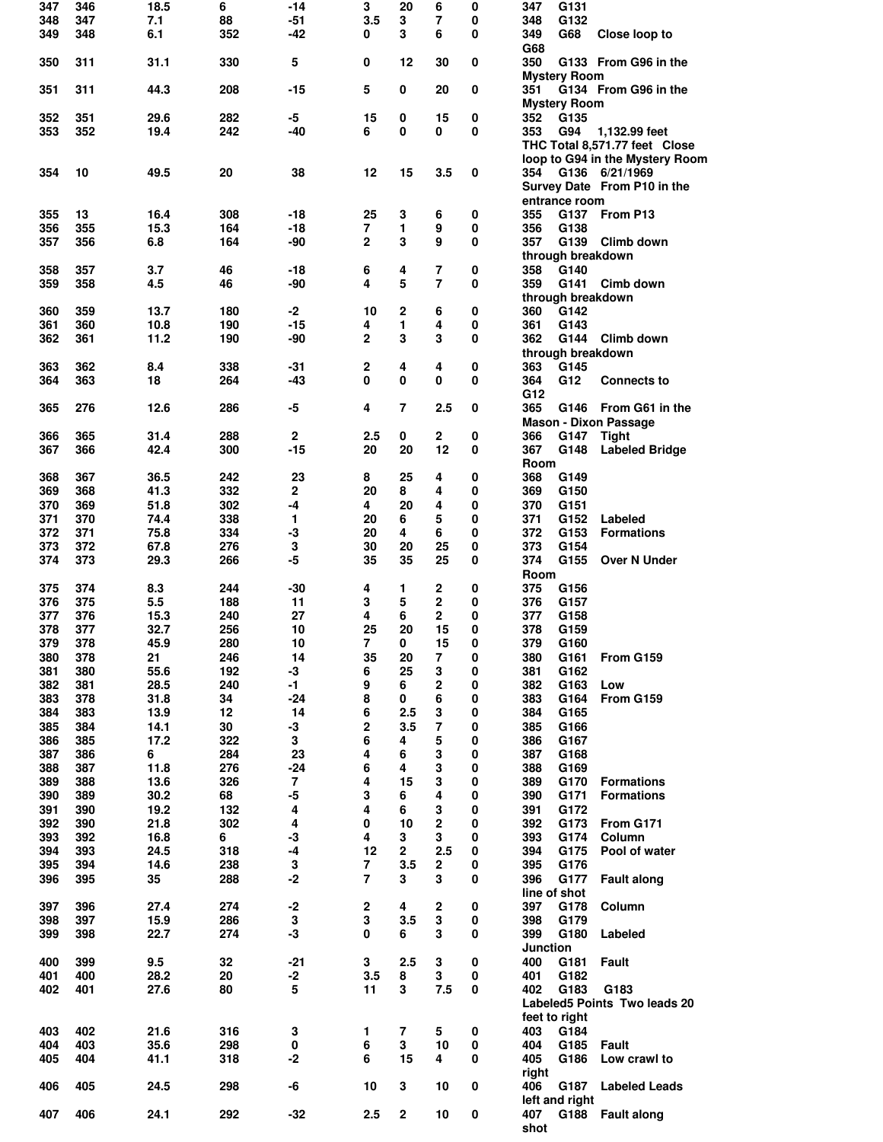| 347 | 346 | 18.5 | 6   | $-14$ | 3                | 20                      | 6                       | 0           | 347                 | G131 |                                 |
|-----|-----|------|-----|-------|------------------|-------------------------|-------------------------|-------------|---------------------|------|---------------------------------|
| 348 | 347 | 7.1  | 88  | $-51$ | 3.5              | 3                       | 7                       | 0           | 348                 | G132 |                                 |
|     |     |      |     |       |                  |                         |                         |             |                     |      |                                 |
| 349 | 348 | 6.1  | 352 | -42   | 0                | 3                       | 6                       | 0           | 349                 | G68  | Close loop to                   |
|     |     |      |     |       |                  |                         |                         |             | G68                 |      |                                 |
| 350 | 311 | 31.1 | 330 | 5     | 0                | 12                      | 30                      | 0           | 350                 |      | G133 From G96 in the            |
|     |     |      |     |       |                  |                         |                         |             | <b>Mystery Room</b> |      |                                 |
| 351 | 311 | 44.3 | 208 | -15   | 5                | 0                       | 20                      | 0           | 351                 |      | G134 From G96 in the            |
|     |     |      |     |       |                  |                         |                         |             |                     |      |                                 |
|     |     |      |     |       |                  |                         |                         |             | <b>Mystery Room</b> |      |                                 |
| 352 | 351 | 29.6 | 282 | -5    | 15               | 0                       | 15                      | 0           | 352                 | G135 |                                 |
| 353 | 352 | 19.4 | 242 | -40   | 6                | 0                       | 0                       | $\bf{0}$    | 353                 | G94  | 1,132.99 feet                   |
|     |     |      |     |       |                  |                         |                         |             |                     |      | THC Total 8,571.77 feet Close   |
|     |     |      |     |       |                  |                         |                         |             |                     |      |                                 |
|     |     |      |     |       |                  |                         |                         |             |                     |      | loop to G94 in the Mystery Room |
| 354 | 10  | 49.5 | 20  | 38    | 12               | 15                      | 3.5                     | 0           |                     |      | 354 G136 6/21/1969              |
|     |     |      |     |       |                  |                         |                         |             |                     |      | Survey Date From P10 in the     |
|     |     |      |     |       |                  |                         |                         |             |                     |      |                                 |
|     |     |      |     |       |                  |                         |                         |             | entrance room       |      |                                 |
| 355 | 13  | 16.4 | 308 | $-18$ | 25               | 3                       | 6                       | 0           | 355                 | G137 | From P13                        |
| 356 | 355 | 15.3 | 164 | -18   | 7                | 1                       | 9                       | $\mathbf 0$ | 356                 | G138 |                                 |
| 357 | 356 | 6.8  | 164 | $-90$ | $\mathbf{2}$     | 3                       | 9                       | 0           | 357                 |      | G139 Climb down                 |
|     |     |      |     |       |                  |                         |                         |             |                     |      |                                 |
|     |     |      |     |       |                  |                         |                         |             | through breakdown   |      |                                 |
| 358 | 357 | 3.7  | 46  | -18   | 6                | 4                       | 7                       | 0           | 358                 | G140 |                                 |
| 359 | 358 | 4.5  | 46  | -90   | 4                | 5                       | $\overline{7}$          | 0           | 359                 | G141 | Cimb down                       |
|     |     |      |     |       |                  |                         |                         |             |                     |      |                                 |
|     |     |      |     |       |                  |                         |                         |             | through breakdown   |      |                                 |
| 360 | 359 | 13.7 | 180 | $-2$  | 10               | 2                       | 6                       | 0           | 360                 | G142 |                                 |
| 361 | 360 | 10.8 | 190 | -15   | 4                | 1                       | 4                       | 0           | 361                 | G143 |                                 |
| 362 | 361 | 11.2 | 190 | -90   | $\overline{2}$   | 3                       | 3                       | $\mathbf 0$ | 362                 | G144 | Climb down                      |
|     |     |      |     |       |                  |                         |                         |             |                     |      |                                 |
|     |     |      |     |       |                  |                         |                         |             | through breakdown   |      |                                 |
| 363 | 362 | 8.4  | 338 | -31   | 2                | 4                       | 4                       | 0           | 363                 | G145 |                                 |
| 364 | 363 | 18   | 264 | $-43$ | 0                | 0                       | 0                       | $\mathbf 0$ | 364                 | G12  | <b>Connects to</b>              |
|     |     |      |     |       |                  |                         |                         |             |                     |      |                                 |
|     |     |      |     |       |                  |                         |                         |             | G12                 |      |                                 |
| 365 | 276 | 12.6 | 286 | $-5$  | 4                | 7                       | 2.5                     | 0           | 365                 |      | G146 From G61 in the            |
|     |     |      |     |       |                  |                         |                         |             |                     |      | <b>Mason - Dixon Passage</b>    |
|     | 365 |      | 288 | 2     |                  | 0                       |                         |             |                     |      |                                 |
| 366 |     | 31.4 |     |       | 2.5              |                         | 2                       | 0           | 366                 | G147 | <b>Tight</b>                    |
| 367 | 366 | 42.4 | 300 | $-15$ | 20               | 20                      | 12                      | 0           | 367                 | G148 | <b>Labeled Bridge</b>           |
|     |     |      |     |       |                  |                         |                         |             | Room                |      |                                 |
| 368 | 367 | 36.5 | 242 | 23    | 8                | 25                      | 4                       | 0           | 368                 | G149 |                                 |
|     |     |      |     |       |                  |                         |                         |             |                     |      |                                 |
| 369 | 368 | 41.3 | 332 | 2     | 20               | 8                       | 4                       | 0           | 369                 | G150 |                                 |
| 370 | 369 | 51.8 | 302 | -4    | 4                | 20                      | 4                       | 0           | 370                 | G151 |                                 |
| 371 | 370 | 74.4 | 338 | 1     | 20               | 6                       | 5                       | 0           | 371                 | G152 | Labeled                         |
| 372 |     |      | 334 | -3    | 20               | 4                       | 6                       | 0           | 372                 | G153 |                                 |
|     | 371 | 75.8 |     |       |                  |                         |                         |             |                     |      | <b>Formations</b>               |
| 373 | 372 | 67.8 | 276 | 3     | 30               | 20                      | 25                      | 0           | 373                 | G154 |                                 |
| 374 | 373 | 29.3 | 266 | -5    | 35               | 35                      | 25                      | 0           | 374                 | G155 | Over N Under                    |
|     |     |      |     |       |                  |                         |                         |             | <b>Room</b>         |      |                                 |
|     |     |      |     |       |                  |                         |                         |             |                     |      |                                 |
| 375 | 374 | 8.3  | 244 | $-30$ | 4                | 1                       | 2                       | 0           | 375                 | G156 |                                 |
| 376 | 375 | 5.5  | 188 | 11    | 3                | 5                       | 2                       | 0           | 376                 | G157 |                                 |
| 377 | 376 | 15.3 | 240 | 27    | 4                | 6                       | $\mathbf{2}$            | 0           | 377                 | G158 |                                 |
| 378 | 377 | 32.7 | 256 | 10    | 25               | 20                      | 15                      | 0           | 378                 | G159 |                                 |
|     |     |      |     |       |                  |                         |                         |             |                     |      |                                 |
| 379 | 378 | 45.9 | 280 | 10    | 7                | 0                       | 15                      | 0           | 379                 | G160 |                                 |
| 380 | 378 | 21   | 246 | 14    | 35               | 20                      | 7                       | 0           | 380                 | G161 | From G159                       |
| 381 | 380 | 55.6 | 192 | -3    | 6                | 25                      | 3                       | 0           | 381                 | G162 |                                 |
| 382 | 381 | 28.5 | 240 | -1    | 9                | 6                       | $\overline{2}$          | $\pmb{0}$   | 382                 | G163 | Low                             |
|     |     |      |     |       |                  |                         |                         |             |                     |      |                                 |
| 383 | 378 | 31.8 | 34  | $-24$ | 8                | 0                       | 6                       | 0           |                     |      | From G159                       |
| 384 | 383 |      |     |       |                  |                         |                         |             | 383                 | G164 |                                 |
| 385 | 384 |      |     |       |                  |                         |                         |             |                     |      |                                 |
|     |     | 13.9 | 12  | 14    | 6                | 2.5                     | 3                       | $\pmb{0}$   | 384                 | G165 |                                 |
| 386 |     | 14.1 | 30  | $-3$  | 2                | 3.5                     | 7                       | $\pmb{0}$   | 385                 | G166 |                                 |
|     | 385 | 17.2 | 322 | 3     | 6                | 4                       | 5                       | 0           | 386                 | G167 |                                 |
| 387 | 386 | 6    | 284 | 23    | 4                | 6                       | 3                       | $\pmb{0}$   | 387                 | G168 |                                 |
|     |     |      |     |       |                  | 4                       |                         |             |                     |      |                                 |
| 388 | 387 | 11.8 | 276 | $-24$ | 6                |                         | 3                       | 0           | 388                 | G169 |                                 |
| 389 | 388 | 13.6 | 326 | 7     | 4                | 15                      | 3                       | $\pmb{0}$   | 389                 | G170 | <b>Formations</b>               |
| 390 | 389 | 30.2 | 68  | $-5$  | 3                | 6                       | 4                       | 0           | 390                 | G171 | <b>Formations</b>               |
| 391 | 390 | 19.2 | 132 | 4     | 4                | 6                       | 3                       | 0           | 391                 | G172 |                                 |
| 392 | 390 |      | 302 | 4     | 0                | 10                      | $\overline{\mathbf{c}}$ | $\pmb{0}$   | 392                 | G173 | From G171                       |
|     |     | 21.8 |     |       |                  |                         |                         |             |                     |      |                                 |
| 393 | 392 | 16.8 | 6   | $-3$  | 4                | 3                       | 3                       | 0           | 393                 | G174 | Column                          |
| 394 | 393 | 24.5 | 318 | $-4$  | 12               | $\overline{\mathbf{2}}$ | 2.5                     | 0           | 394                 | G175 | Pool of water                   |
| 395 | 394 | 14.6 | 238 | 3     | 7                | 3.5                     | $\mathbf 2$             | 0           | 395                 | G176 |                                 |
|     |     |      |     |       |                  |                         |                         |             |                     |      |                                 |
| 396 | 395 | 35   | 288 | $-2$  | $\overline{7}$   | 3                       | 3                       | 0           | 396                 | G177 | <b>Fault along</b>              |
|     |     |      |     |       |                  |                         |                         |             | line of shot        |      |                                 |
| 397 | 396 | 27.4 | 274 | $-2$  | $\boldsymbol{2}$ | 4                       | 2                       | 0           | 397                 | G178 | Column                          |
| 398 |     |      | 286 |       | 3                | 3.5                     | 3                       | $\pmb{0}$   |                     | G179 |                                 |
|     | 397 | 15.9 |     | 3     |                  |                         |                         |             | 398                 |      |                                 |
| 399 | 398 | 22.7 | 274 | $-3$  | $\mathbf 0$      | 6                       | 3                       | 0           | 399                 | G180 | Labeled                         |
|     |     |      |     |       |                  |                         |                         |             | Junction            |      |                                 |
| 400 | 399 | 9.5  | 32  | $-21$ | 3                | 2.5                     | 3                       | 0           | 400                 | G181 | <b>Fault</b>                    |
|     |     |      |     |       |                  |                         |                         |             |                     |      |                                 |
| 401 | 400 | 28.2 | 20  | $-2$  | 3.5              | 8                       | 3                       | 0           | 401                 | G182 |                                 |
| 402 | 401 | 27.6 | 80  | 5     | 11               | 3                       | 7.5                     | 0           | 402                 | G183 | G183                            |
|     |     |      |     |       |                  |                         |                         |             |                     |      | Labeled5 Points Two leads 20    |
|     |     |      |     |       |                  |                         |                         |             | feet to right       |      |                                 |
|     |     |      |     |       |                  |                         |                         |             |                     |      |                                 |
| 403 | 402 | 21.6 | 316 | 3     | 1                | $\overline{7}$          | 5                       | 0           | 403                 | G184 |                                 |
| 404 | 403 | 35.6 | 298 | 0     | 6                | 3                       | 10                      | 0           | 404                 | G185 | <b>Fault</b>                    |
| 405 | 404 | 41.1 | 318 | $-2$  | 6                | 15                      | 4                       | 0           | 405                 | G186 | Low crawl to                    |
|     |     |      |     |       |                  |                         |                         |             |                     |      |                                 |
|     |     |      |     |       |                  |                         |                         |             | right               |      |                                 |
| 406 | 405 | 24.5 | 298 | -6    | 10               | 3                       | 10                      | 0           | 406                 | G187 | <b>Labeled Leads</b>            |
|     |     |      |     |       |                  |                         |                         |             | left and right      |      |                                 |
| 407 | 406 | 24.1 | 292 | $-32$ | 2.5              | $\mathbf 2$             | 10                      | 0           | 407                 | G188 | <b>Fault along</b>              |
|     |     |      |     |       |                  |                         |                         |             | shot                |      |                                 |